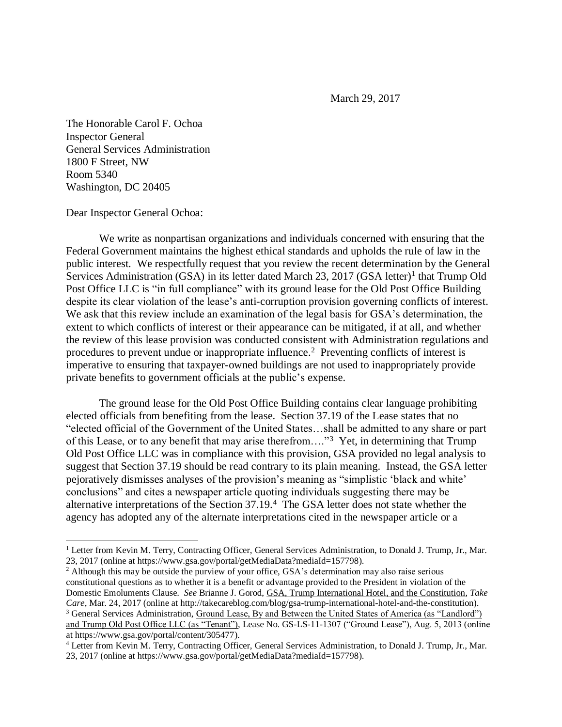March 29, 2017

The Honorable Carol F. Ochoa Inspector General General Services Administration 1800 F Street, NW Room 5340 Washington, DC 20405

Dear Inspector General Ochoa:

 $\overline{a}$ 

We write as nonpartisan organizations and individuals concerned with ensuring that the Federal Government maintains the highest ethical standards and upholds the rule of law in the public interest. We respectfully request that you review the recent determination by the General Services Administration (GSA) in its letter dated March 23, 2017 (GSA letter)<sup>1</sup> that Trump Old Post Office LLC is "in full compliance" with its ground lease for the Old Post Office Building despite its clear violation of the lease's anti-corruption provision governing conflicts of interest. We ask that this review include an examination of the legal basis for GSA's determination, the extent to which conflicts of interest or their appearance can be mitigated, if at all, and whether the review of this lease provision was conducted consistent with Administration regulations and procedures to prevent undue or inappropriate influence. 2 Preventing conflicts of interest is imperative to ensuring that taxpayer-owned buildings are not used to inappropriately provide private benefits to government officials at the public's expense.

The ground lease for the Old Post Office Building contains clear language prohibiting elected officials from benefiting from the lease. Section 37.19 of the Lease states that no "elected official of the Government of the United States…shall be admitted to any share or part of this Lease, or to any benefit that may arise therefrom...."<sup>3</sup> Yet, in determining that Trump Old Post Office LLC was in compliance with this provision, GSA provided no legal analysis to suggest that Section 37.19 should be read contrary to its plain meaning. Instead, the GSA letter pejoratively dismisses analyses of the provision's meaning as "simplistic 'black and white' conclusions" and cites a newspaper article quoting individuals suggesting there may be alternative interpretations of the Section 37.19.<sup>4</sup> The GSA letter does not state whether the agency has adopted any of the alternate interpretations cited in the newspaper article or a

<sup>2</sup> Although this may be outside the purview of your office, GSA's determination may also raise serious constitutional questions as to whether it is a benefit or advantage provided to the President in violation of the Domestic Emoluments Clause. *See* Brianne J. Gorod, GSA, Trump International Hotel, and the Constitution, *Take Care*, Mar. 24, 2017 (online at http://takecareblog.com/blog/gsa-trump-international-hotel-and-the-constitution). <sup>3</sup> General Services Administration, Ground Lease, By and Between the United States of America (as "Landlord") and Trump Old Post Office LLC (as "Tenant"), Lease No. GS-LS-11-1307 ("Ground Lease"), Aug. 5, 2013 (online at https://www.gsa.gov/portal/content/305477).

<sup>4</sup> Letter from Kevin M. Terry, Contracting Officer, General Services Administration, to Donald J. Trump, Jr., Mar. 23, 2017 (online at https://www.gsa.gov/portal/getMediaData?mediaId=157798).

<sup>&</sup>lt;sup>1</sup> Letter from Kevin M. Terry, Contracting Officer, General Services Administration, to Donald J. Trump, Jr., Mar. 23, 2017 (online at https://www.gsa.gov/portal/getMediaData?mediaId=157798).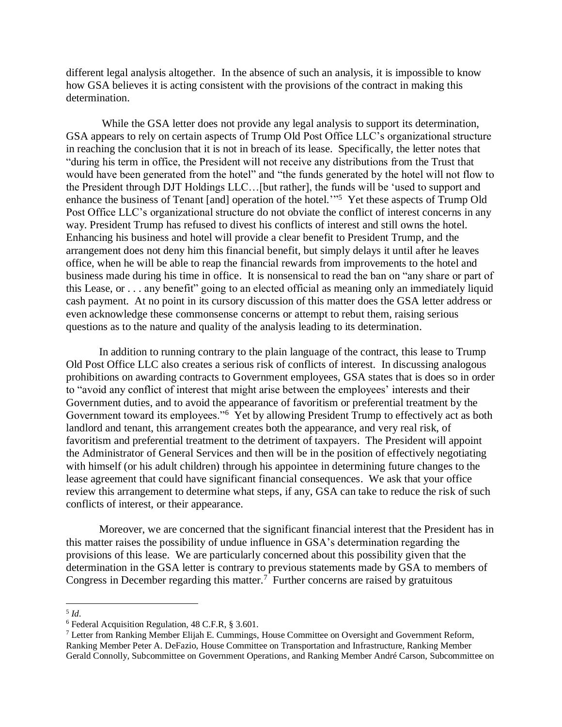different legal analysis altogether. In the absence of such an analysis, it is impossible to know how GSA believes it is acting consistent with the provisions of the contract in making this determination.

While the GSA letter does not provide any legal analysis to support its determination, GSA appears to rely on certain aspects of Trump Old Post Office LLC's organizational structure in reaching the conclusion that it is not in breach of its lease. Specifically, the letter notes that "during his term in office, the President will not receive any distributions from the Trust that would have been generated from the hotel" and "the funds generated by the hotel will not flow to the President through DJT Holdings LLC…[but rather], the funds will be 'used to support and enhance the business of Tenant [and] operation of the hotel.<sup>"5</sup> Yet these aspects of Trump Old Post Office LLC's organizational structure do not obviate the conflict of interest concerns in any way. President Trump has refused to divest his conflicts of interest and still owns the hotel. Enhancing his business and hotel will provide a clear benefit to President Trump, and the arrangement does not deny him this financial benefit, but simply delays it until after he leaves office, when he will be able to reap the financial rewards from improvements to the hotel and business made during his time in office. It is nonsensical to read the ban on "any share or part of this Lease, or . . . any benefit" going to an elected official as meaning only an immediately liquid cash payment. At no point in its cursory discussion of this matter does the GSA letter address or even acknowledge these commonsense concerns or attempt to rebut them, raising serious questions as to the nature and quality of the analysis leading to its determination.

In addition to running contrary to the plain language of the contract, this lease to Trump Old Post Office LLC also creates a serious risk of conflicts of interest. In discussing analogous prohibitions on awarding contracts to Government employees, GSA states that is does so in order to "avoid any conflict of interest that might arise between the employees' interests and their Government duties, and to avoid the appearance of favoritism or preferential treatment by the Government toward its employees."<sup>6</sup> Yet by allowing President Trump to effectively act as both landlord and tenant, this arrangement creates both the appearance, and very real risk, of favoritism and preferential treatment to the detriment of taxpayers. The President will appoint the Administrator of General Services and then will be in the position of effectively negotiating with himself (or his adult children) through his appointee in determining future changes to the lease agreement that could have significant financial consequences. We ask that your office review this arrangement to determine what steps, if any, GSA can take to reduce the risk of such conflicts of interest, or their appearance.

Moreover, we are concerned that the significant financial interest that the President has in this matter raises the possibility of undue influence in GSA's determination regarding the provisions of this lease. We are particularly concerned about this possibility given that the determination in the GSA letter is contrary to previous statements made by GSA to members of Congress in December regarding this matter.<sup>7</sup> Further concerns are raised by gratuitous

 $\overline{a}$ 

<sup>5</sup> *Id*.

<sup>6</sup> Federal Acquisition Regulation, 48 C.F.R, § 3.601.

<sup>7</sup> Letter from Ranking Member Elijah E. Cummings, House Committee on Oversight and Government Reform, Ranking Member Peter A. DeFazio, House Committee on Transportation and Infrastructure, Ranking Member Gerald Connolly, Subcommittee on Government Operations, and Ranking Member André Carson, Subcommittee on